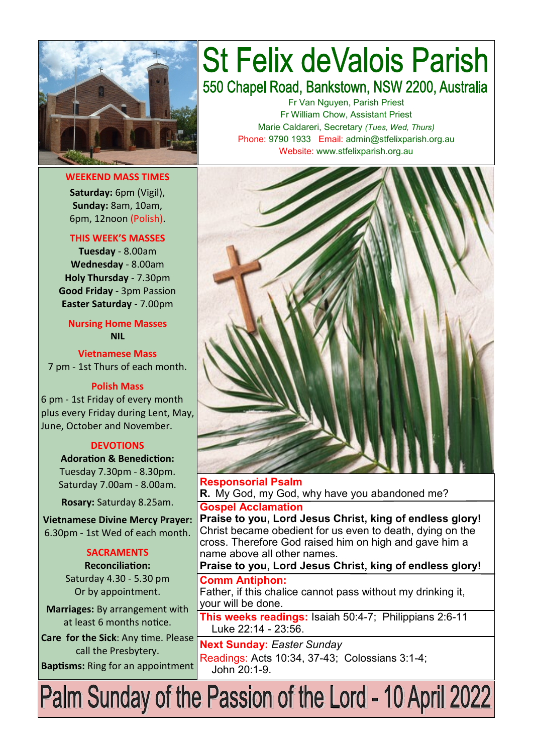

**WEEKEND MASS TIMES Saturday:** 6pm (Vigil), **Sunday:** 8am, 10am, 6pm, 12noon (Polish).

#### **THIS WEEK'S MASSES**

**Tuesday** - 8.00am **Wednesday** - 8.00am **Holy Thursday** - 7.30pm **Good Friday** - 3pm Passion **Easter Saturday** - 7.00pm

**Nursing Home Masses NIL**

**Vietnamese Mass** 7 pm - 1st Thurs of each month.

#### **Polish Mass**

6 pm - 1st Friday of every month plus every Friday during Lent, May, June, October and November.

#### **DEVOTIONS**

**Adoration & Benediction:**  Tuesday 7.30pm - 8.30pm. Saturday 7.00am - 8.00am.

**Rosary:** Saturday 8.25am.

**Vietnamese Divine Mercy Prayer:** 6.30pm - 1st Wed of each month.

#### **SACRAMENTS**

**Reconciliation:**  Saturday 4.30 - 5.30 pm Or by appointment.

**Marriages:** By arrangement with at least 6 months notice.

**Care for the Sick**: Any time. Please call the Presbytery.

**Baptisms:** Ring for an appointment

# **St Felix deValois Parish** 550 Chapel Road, Bankstown, NSW 2200, Australia

Fr Van Nguyen, Parish Priest Fr William Chow, Assistant Priest Marie Caldareri, Secretary *(Tues, Wed, Thurs)* Phone: 9790 1933 Email: admin@stfelixparish.org.au Website: www.stfelixparish.org.au



**Responsorial Psalm R.** My God, my God, why have you abandoned me? **Gospel Acclamation Praise to you, Lord Jesus Christ, king of endless glory!** Christ became obedient for us even to death, dying on the

cross. Therefore God raised him on high and gave him a name above all other names.

**Praise to you, Lord Jesus Christ, king of endless glory!**

**Comm Antiphon:**  Father, if this chalice cannot pass without my drinking it, your will be done.

**This weeks readings:** Isaiah 50:4-7; Philippians 2:6-11 Luke 22:14 - 23:56.

**Next Sunday:** *Easter Sunday*  Readings: Acts 10:34, 37-43; Colossians 3:1-4; John 20:1-9.

Palm Sunday of the Passion of the Lord - 10 April 2022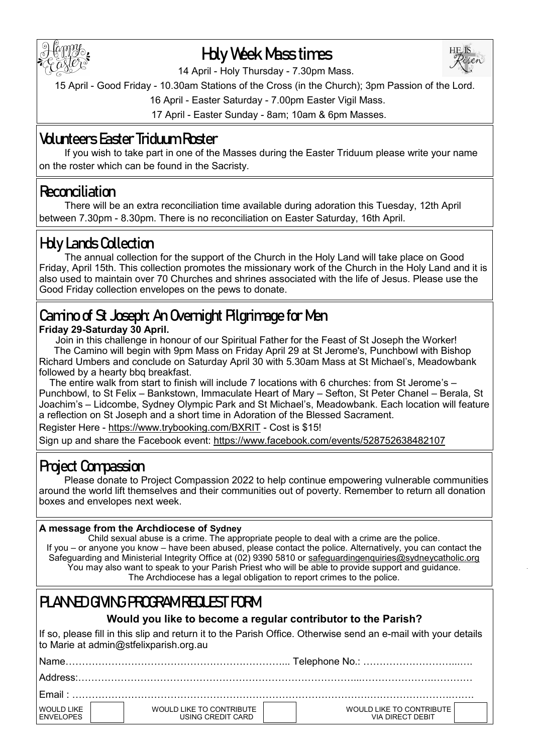

## **Holy Week Mass times**



14 April - Holy Thursday - 7.30pm Mass.

15 April - Good Friday - 10.30am Stations of the Cross (in the Church); 3pm Passion of the Lord.

16 April - Easter Saturday - 7.00pm Easter Vigil Mass.

17 April - Easter Sunday - 8am; 10am & 6pm Masses.

## **Volunteers Easter Triduum Roster**

If you wish to take part in one of the Masses during the Easter Triduum please write your name on the roster which can be found in the Sacristy.

## **Reconciliation**

There will be an extra reconciliation time available during adoration this Tuesday, 12th April between 7.30pm - 8.30pm. There is no reconciliation on Easter Saturday, 16th April.

## **Holy Lands Collection**

The annual collection for the support of the Church in the Holy Land will take place on Good Friday, April 15th. This collection promotes the missionary work of the Church in the Holy Land and it is also used to maintain over 70 Churches and shrines associated with the life of Jesus. Please use the Good Friday collection envelopes on the pews to donate.

## **Camino of St Joseph: An Overnight Pilgrimage for Men**

**Friday 29-Saturday 30 April.**

 Join in this challenge in honour of our Spiritual Father for the Feast of St Joseph the Worker! The Camino will begin with 9pm Mass on Friday April 29 at St Jerome's, Punchbowl with Bishop Richard Umbers and conclude on Saturday April 30 with 5.30am Mass at St Michael's, Meadowbank followed by a hearty bbq breakfast.

 The entire walk from start to finish will include 7 locations with 6 churches: from St Jerome's – Punchbowl, to St Felix – Bankstown, Immaculate Heart of Mary – Sefton, St Peter Chanel – Berala, St Joachim's – Lidcombe, Sydney Olympic Park and St Michael's, Meadowbank. Each location will feature a reflection on St Joseph and a short time in Adoration of the Blessed Sacrament.

Register Here - [https://www.trybooking.com/BXRIT](https://comms.sydneycatholic.org/ch/75218/vtw0w/2219494/R.Kyu99PAZgna7b6kde.BZ_0cGVo9bfygkz53irF.html) - Cost is \$15!

Sign up and share the Facebook event: [https://www.facebook.com/events/528752638482107](https://comms.sydneycatholic.org/ch/75218/vtw0w/2219495/R.Kyu99PAZgna7b6kde.en4KLX9DhEVd5mISCony.html)

## **Project Compassion**

Please donate to Project Compassion 2022 to help continue empowering vulnerable communities around the world lift themselves and their communities out of poverty. Remember to return all donation boxes and envelopes next week.

#### **A message from the Archdiocese of Sydney**

Child sexual abuse is a crime. The appropriate people to deal with a crime are the police. If you – or anyone you know – have been abused, please contact the police. Alternatively, you can contact the Safeguarding and Ministerial Integrity Office at (02) 9390 5810 or [safeguardingenquiries@sydneycatholic.org](mailto:safeguardingenquiries@sydneycatholic.org) You may also want to speak to your Parish Priest who will be able to provide support and guidance. The Archdiocese has a legal obligation to report crimes to the police.

## **PLANED GIVING PROGRAM REQUEST FORM**

### **Would you like to become a regular contributor to the Parish?**

If so, please fill in this slip and return it to the Parish Office. Otherwise send an e-mail with your details to Marie at admin@stfelixparish.org.au

| WOULD LIKE<br><b>ENVELOPES</b> | WOULD LIKE TO CONTRIBUTE<br>USING CREDIT CARD | WOULD LIKE TO CONTRIBUTE<br>VIA DIRECT DEBIT |  |  |  |
|--------------------------------|-----------------------------------------------|----------------------------------------------|--|--|--|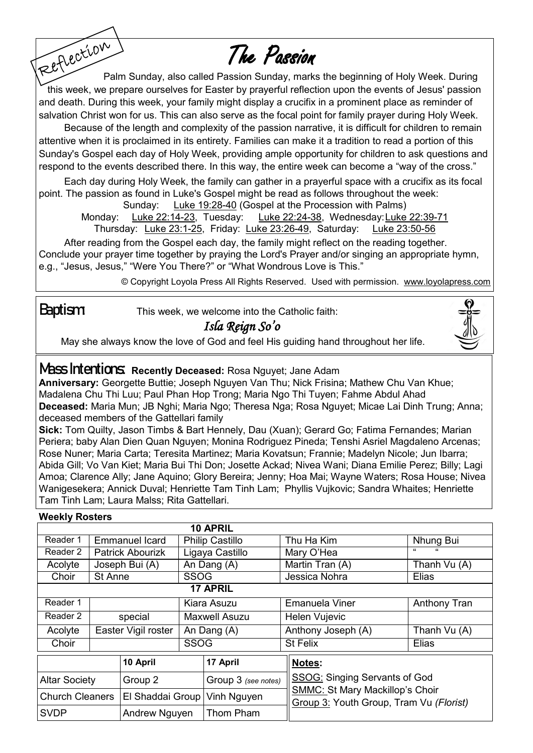# The Passion

Reflection Palm Sunday, also called Passion Sunday, marks the beginning of Holy Week. During this week, we prepare ourselves for Easter by prayerful reflection upon the events of Jesus' passion and death. During this week, your family might display a crucifix in a prominent place as reminder of salvation Christ won for us. This can also serve as the focal point for family prayer during Holy Week.

Because of the length and complexity of the passion narrative, it is difficult for children to remain attentive when it is proclaimed in its entirety. Families can make it a tradition to read a portion of this Sunday's Gospel each day of Holy Week, providing ample opportunity for children to ask questions and respond to the events described there. In this way, the entire week can become a "way of the cross."

Each day during Holy Week, the family can gather in a prayerful space with a crucifix as its focal point. The passion as found in Luke's Gospel might be read as follows throughout the week:

Sunday: [Luke 19:28](http://old.usccb.org/nab/bible/luke/luke19.htm/)-40 (Gospel at the Procession with Palms)

Monday: [Luke 22:14](http://old.usccb.org/nab/bible/luke/luke22.htm/)-23, Tuesday: [Luke 22:24](http://old.usccb.org/nab/bible/luke/luke22.htm/)-38, Wednesday: [Luke 22:39](http://old.usccb.org/nab/bible/luke/luke22.htm/)-71 Thursday: [Luke 23:1](http://old.usccb.org/nab/bible/luke/luke23.htm/)-25, Friday: [Luke 23:26](http://old.usccb.org/nab/bible/luke/luke23.htm/)-49, Saturday: [Luke 23:50](http://old.usccb.org/nab/bible/luke/luke23.htm)-56

After reading from the Gospel each day, the family might reflect on the reading together. Conclude your prayer time together by praying the Lord's Prayer and/or singing an appropriate hymn, e.g., "Jesus, Jesus," "Were You There?" or "What Wondrous Love is This."

© Copyright Loyola Press All Rights Reserved. Used with permission. [www.loyolapress.com](http://www.loyolapress.com)

**Baptism:** This week, we welcome into the Catholic faith:

## *Isla Reign So'o*

May she always know the love of God and feel His guiding hand throughout her life.

## **Mass Intentions: Recently Deceased:** Rosa Nguyet; Jane Adam

**Anniversary:** Georgette Buttie; Joseph Nguyen Van Thu; Nick Frisina; Mathew Chu Van Khue; Madalena Chu Thi Luu; Paul Phan Hop Trong; Maria Ngo Thi Tuyen; Fahme Abdul Ahad **Deceased:** Maria Mun; JB Nghi; Maria Ngo; Theresa Nga; Rosa Nguyet; Micae Lai Dinh Trung; Anna; deceased members of the Gattellari family

**Sick:** Tom Quilty, Jason Timbs & Bart Hennely, Dau (Xuan); Gerard Go; Fatima Fernandes; Marian Periera; baby Alan Dien Quan Nguyen; Monina Rodriguez Pineda; Tenshi Asriel Magdaleno Arcenas; Rose Nuner; Maria Carta; Teresita Martinez; Maria Kovatsun; Frannie; Madelyn Nicole; Jun Ibarra; Abida Gill; Vo Van Kiet; Maria Bui Thi Don; Josette Ackad; Nivea Wani; Diana Emilie Perez; Billy; Lagi Amoa; Clarence Ally; Jane Aquino; Glory Bereira; Jenny; Hoa Mai; Wayne Waters; Rosa House; Nivea Wanigesekera; Annick Duval; Henriette Tam Tinh Lam; Phyllis Vujkovic; Sandra Whaites; Henriette Tam Tinh Lam; Laura Malss; Rita Gattellari.

| <b><i>VVEEKIV ROSTETS</i></b> |                         |                                |                        |                     |  |                                                                                   |                     |  |  |  |  |
|-------------------------------|-------------------------|--------------------------------|------------------------|---------------------|--|-----------------------------------------------------------------------------------|---------------------|--|--|--|--|
|                               |                         |                                |                        | 10 APRIL            |  |                                                                                   |                     |  |  |  |  |
| Reader 1                      | <b>Emmanuel Icard</b>   |                                | <b>Philip Castillo</b> |                     |  | Thu Ha Kim                                                                        | Nhung Bui           |  |  |  |  |
| Reader 2                      | <b>Patrick Abourizk</b> |                                | Ligaya Castillo        |                     |  | Mary O'Hea                                                                        | "<br>$\epsilon$     |  |  |  |  |
| Acolyte                       | Joseph Bui (A)          |                                | An Dang (A)            |                     |  | Martin Tran (A)                                                                   | Thanh Vu (A)        |  |  |  |  |
| Choir                         | St Anne                 |                                | <b>SSOG</b>            |                     |  | Jessica Nohra                                                                     | Elias               |  |  |  |  |
|                               |                         |                                |                        | <b>17 APRIL</b>     |  |                                                                                   |                     |  |  |  |  |
| Reader 1                      |                         |                                | Kiara Asuzu            |                     |  | <b>Emanuela Viner</b>                                                             | <b>Anthony Tran</b> |  |  |  |  |
| Reader 2                      | special                 |                                | <b>Maxwell Asuzu</b>   |                     |  | Helen Vujevic                                                                     |                     |  |  |  |  |
| Acolyte                       | Easter Vigil roster     |                                | An Dang (A)            |                     |  | Anthony Joseph (A)                                                                | Thanh Vu (A)        |  |  |  |  |
| Choir                         |                         |                                | <b>SSOG</b>            |                     |  | <b>St Felix</b>                                                                   | Elias               |  |  |  |  |
| 10 April                      |                         |                                |                        | 17 April            |  | Notes:                                                                            |                     |  |  |  |  |
| <b>Altar Society</b>          |                         | Group 2                        |                        | Group 3 (see notes) |  | <b>SSOG: Singing Servants of God</b>                                              |                     |  |  |  |  |
| <b>Church Cleaners</b>        |                         | El Shaddai Group   Vinh Nguyen |                        |                     |  | <b>SMMC: St Mary Mackillop's Choir</b><br>Group 3: Youth Group, Tram Vu (Florist) |                     |  |  |  |  |
| <b>SVDP</b>                   |                         | Andrew Nguyen                  |                        | Thom Pham           |  |                                                                                   |                     |  |  |  |  |

## **Weekly Rosters**